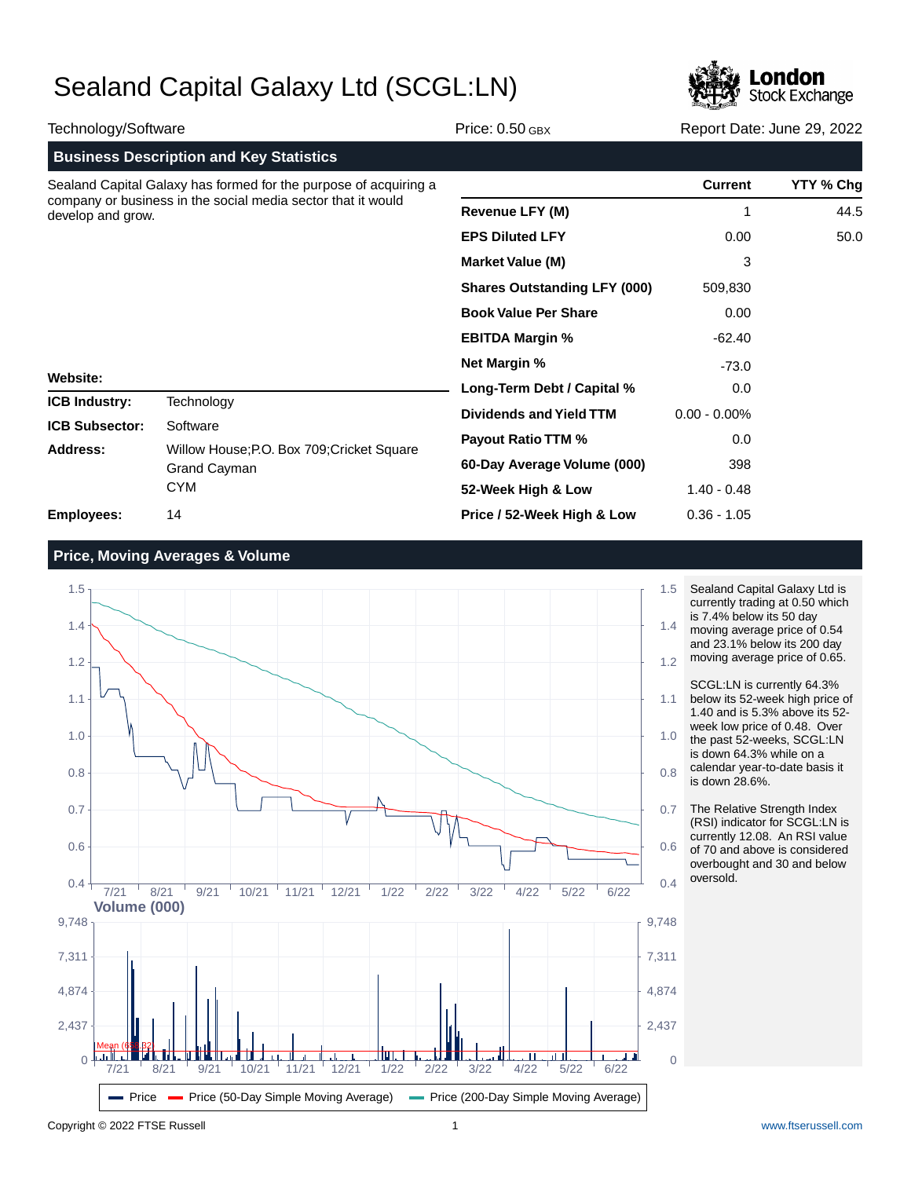

| Technology/Software                                                                                                                                   |                                                                                             | Price: $0.50$ GBX                   | Report Date: June 29, 2022 |           |
|-------------------------------------------------------------------------------------------------------------------------------------------------------|---------------------------------------------------------------------------------------------|-------------------------------------|----------------------------|-----------|
|                                                                                                                                                       | <b>Business Description and Key Statistics</b>                                              |                                     |                            |           |
| Sealand Capital Galaxy has formed for the purpose of acquiring a<br>company or business in the social media sector that it would<br>develop and grow. |                                                                                             |                                     | <b>Current</b>             | YTY % Chg |
|                                                                                                                                                       |                                                                                             | <b>Revenue LFY (M)</b>              | 1                          | 44.5      |
|                                                                                                                                                       |                                                                                             | <b>EPS Diluted LFY</b>              | 0.00                       | 50.0      |
|                                                                                                                                                       |                                                                                             | <b>Market Value (M)</b>             | 3                          |           |
| <b>Website:</b>                                                                                                                                       |                                                                                             | <b>Shares Outstanding LFY (000)</b> | 509,830                    |           |
|                                                                                                                                                       |                                                                                             | <b>Book Value Per Share</b>         | 0.00                       |           |
|                                                                                                                                                       |                                                                                             | <b>EBITDA Margin %</b>              | $-62.40$                   |           |
|                                                                                                                                                       |                                                                                             | <b>Net Margin %</b>                 | $-73.0$                    |           |
|                                                                                                                                                       |                                                                                             | Long-Term Debt / Capital %          | 0.0                        |           |
| <b>ICB Industry:</b>                                                                                                                                  | Technology                                                                                  | Dividends and Yield TTM             | $0.00 - 0.00\%$            |           |
| <b>ICB Subsector:</b><br><b>Address:</b>                                                                                                              | Software<br>Willow House; P.O. Box 709; Cricket Square<br><b>Grand Cayman</b><br><b>CYM</b> | <b>Payout Ratio TTM %</b>           | 0.0                        |           |
|                                                                                                                                                       |                                                                                             | 60-Day Average Volume (000)         | 398                        |           |
|                                                                                                                                                       |                                                                                             | 52-Week High & Low                  | $1.40 - 0.48$              |           |
| Employees:                                                                                                                                            | 14                                                                                          | Price / 52-Week High & Low          | $0.36 - 1.05$              |           |

## **Price, Moving Averages & Volume**



- Sealand Capital Galaxy Ltd is currently trading at 0.50 which is 7.4% below its 50 day
- moving average price of 0.54 and 23.1% below its 200 day moving average price of 0.65.
- SCGL:LN is currently 64.3% below its 52-week high price of 1.40 and is 5.3% above its 52 week low price of 0.48. Over the past 52-weeks, SCGL:LN is down 64.3% while on a calendar year-to-date basis it is down 28.6%.
- The Relative Strength Index (RSI) indicator for SCGL:LN is currently 12.08. An RSI value of 70 and above is considered overbought and 30 and below oversold.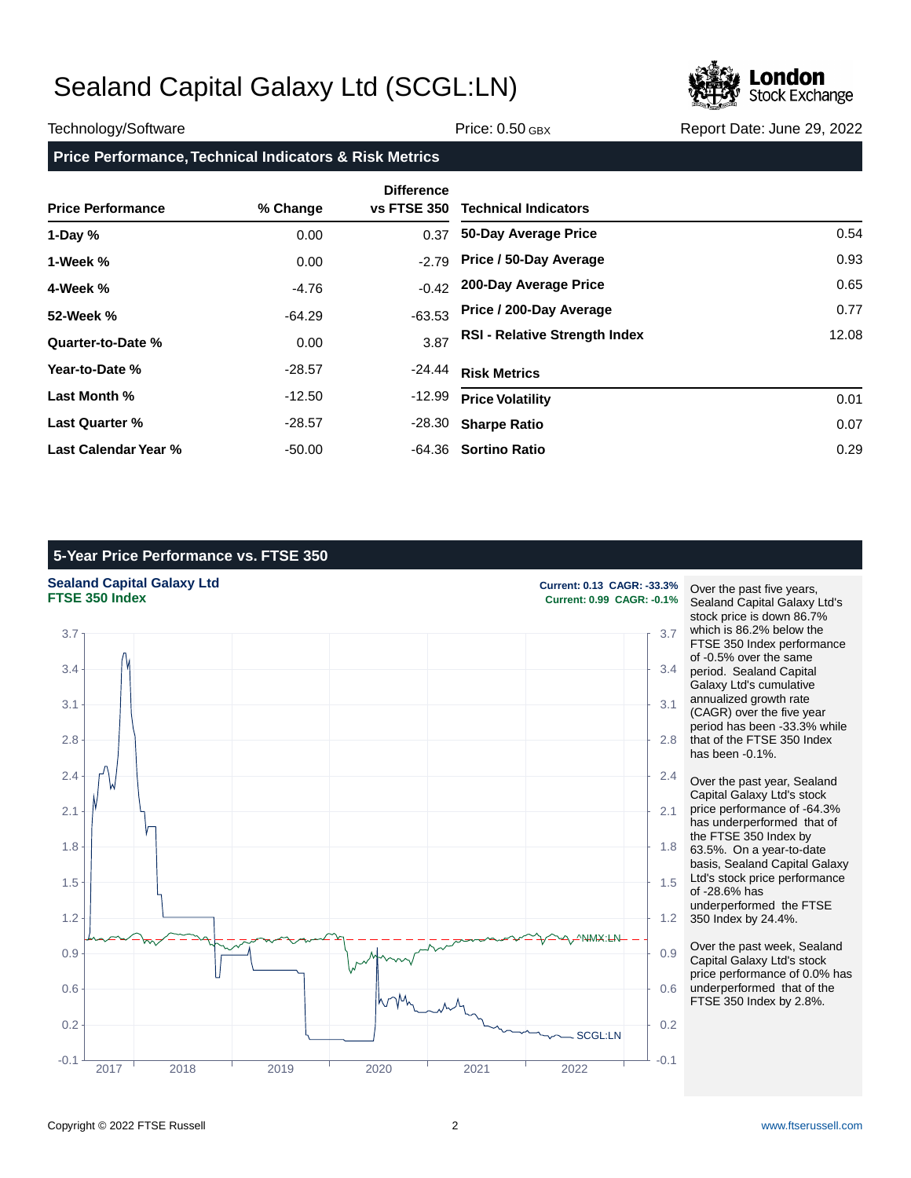

### Technology/Software **Price: 0.50 GBX** Report Date: June 29, 2022

## **Price Performance, Technical Indicators & Risk Metrics**

| <b>Price Performance</b> | % Change | <b>Difference</b><br><b>vs FTSE 350</b> | <b>Technical Indicators</b>          |       |
|--------------------------|----------|-----------------------------------------|--------------------------------------|-------|
| 1-Day $%$                | 0.00     | 0.37                                    | 50-Day Average Price                 | 0.54  |
| 1-Week %                 | 0.00     | $-2.79$                                 | Price / 50-Day Average               | 0.93  |
| 4-Week %                 | $-4.76$  | $-0.42$                                 | 200-Day Average Price                | 0.65  |
| 52-Week %                | $-64.29$ | $-63.53$                                | Price / 200-Day Average              | 0.77  |
| Quarter-to-Date %        | 0.00     | 3.87                                    | <b>RSI - Relative Strength Index</b> | 12.08 |
| Year-to-Date %           | -28.57   | $-24.44$                                | <b>Risk Metrics</b>                  |       |
| Last Month %             | $-12.50$ | $-12.99$                                | <b>Price Volatility</b>              | 0.01  |
| <b>Last Quarter %</b>    | -28.57   | -28.30                                  | <b>Sharpe Ratio</b>                  | 0.07  |
| Last Calendar Year %     | -50.00   | -64.36                                  | <b>Sortino Ratio</b>                 | 0.29  |

## **5-Year Price Performance vs. FTSE 350**

## **Sealand Capital Galaxy Ltd Current: 0.13 CAGR: -33.3%**<br> **FTSE 350 Index Current: 0.99 CAGR: -0.1%**



**FTSE 350 Index Current: 0.99 CAGR: -0.1%**

Over the past five years, Sealand Capital Galaxy Ltd's stock price is down 86.7% which is 86.2% below the FTSE 350 Index performance of -0.5% over the same period. Sealand Capital Galaxy Ltd's cumulative annualized growth rate (CAGR) over the five year period has been -33.3% while that of the FTSE 350 Index has been -0.1%.

Over the past year, Sealand Capital Galaxy Ltd's stock price performance of -64.3% has underperformed that of the FTSE 350 Index by 63.5%. On a year-to-date basis, Sealand Capital Galaxy Ltd's stock price performance of -28.6% has underperformed the FTSE 350 Index by 24.4%.

Over the past week, Sealand Capital Galaxy Ltd's stock price performance of 0.0% has underperformed that of the FTSE 350 Index by 2.8%.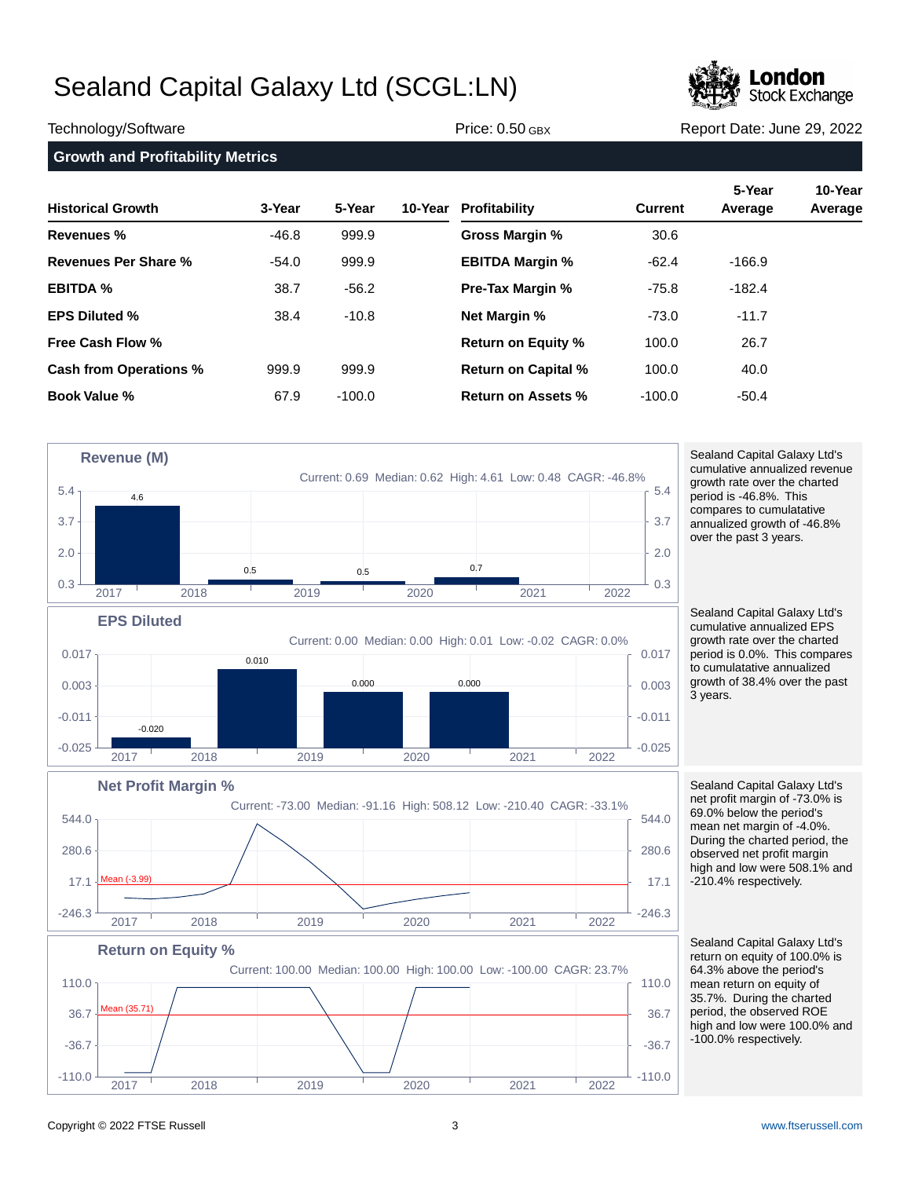

Technology/Software **Price: 0.50 GBX** Report Date: June 29, 2022

**Growth and Profitability Metrics Historical Growth 3-Year 5-Year 10-Year Revenues % Revenues Per Share % EBITDA % EPS Diluted % Free Cash Flow % Cash from Operations % Book Value % 10-Year Profitability 5-Year 10-Year Current Average Average Gross Margin % EBITDA Margin % Pre-Tax Margin % Net Margin % Return on Equity % Return on Capital % Return on Assets %** -46.8 -54.0 38.7 38.4 999.9 67.9 999.9 999.9 -56.2 -10.8 999.9 -100.0 30.6 -62.4 -75.8 -73.0 100.0 100.0 -100.0 -166.9 -182.4 -11.7 26.7 40.0 -50.4

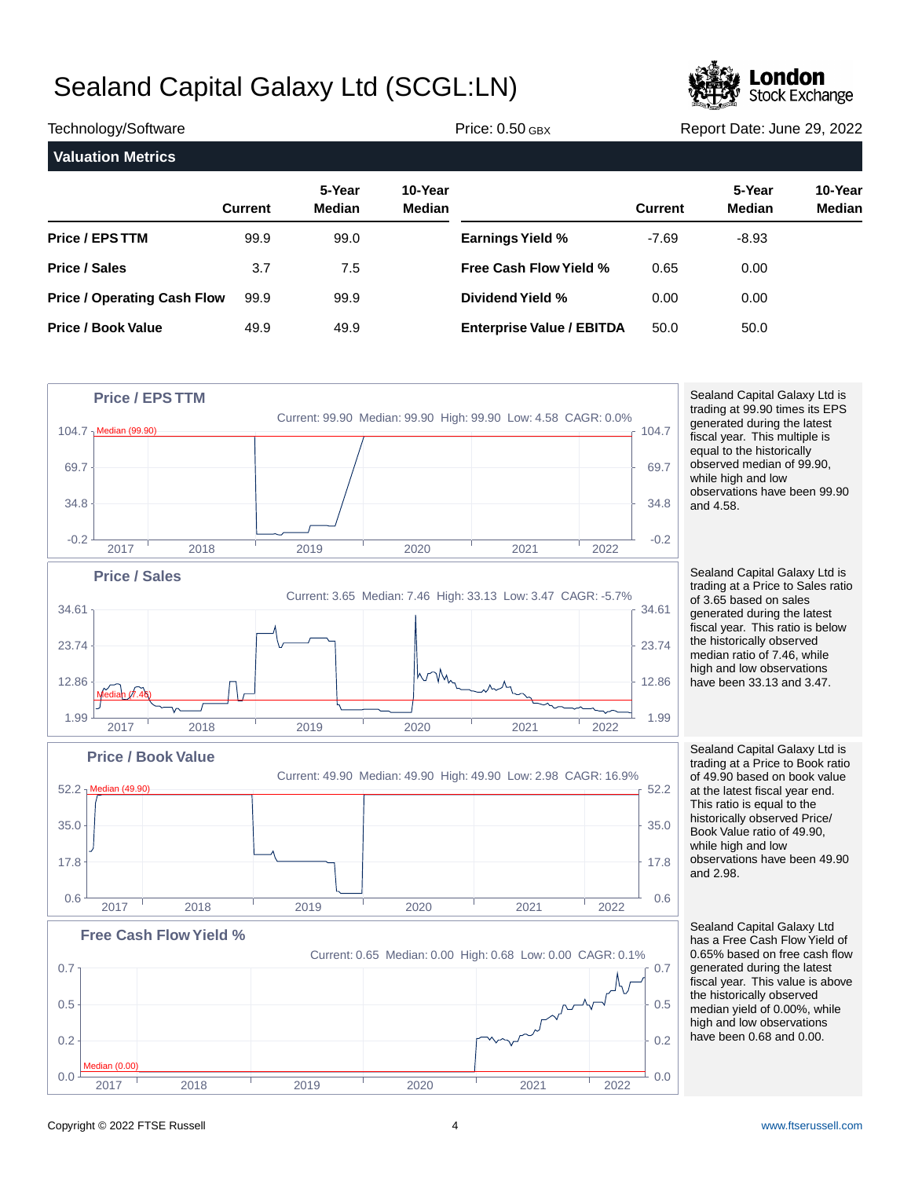

| Technology/Software                |                |                         |                          | Price: $0.50$ GBX                |                | Report Date: June 29, 2022 |                   |  |
|------------------------------------|----------------|-------------------------|--------------------------|----------------------------------|----------------|----------------------------|-------------------|--|
| <b>Valuation Metrics</b>           |                |                         |                          |                                  |                |                            |                   |  |
|                                    | <b>Current</b> | 5-Year<br><b>Median</b> | 10-Year<br><b>Median</b> |                                  | <b>Current</b> | 5-Year<br><b>Median</b>    | 10-Year<br>Median |  |
| <b>Price / EPS TTM</b>             | 99.9           | 99.0                    |                          | <b>Earnings Yield %</b>          | $-7.69$        | $-8.93$                    |                   |  |
| <b>Price / Sales</b>               | 3.7            | 7.5                     |                          | <b>Free Cash Flow Yield %</b>    | 0.65           | 0.00                       |                   |  |
| <b>Price / Operating Cash Flow</b> | 99.9           | 99.9                    |                          | Dividend Yield %                 | 0.00           | 0.00                       |                   |  |
| <b>Price / Book Value</b>          | 49.9           | 49.9                    |                          | <b>Enterprise Value / EBITDA</b> | 50.0           | 50.0                       |                   |  |



Sealand Capital Galaxy Ltd is trading at 99.90 times its EPS generated during the latest fiscal year. This multiple is equal to the historically observed median of 99.90, while high and low observations have been 99.90 and 4.58.

Sealand Capital Galaxy Ltd is trading at a Price to Sales ratio of 3.65 based on sales generated during the latest fiscal year. This ratio is below the historically observed median ratio of 7.46, while high and low observations have been 33.13 and 3.47.

Sealand Capital Galaxy Ltd is trading at a Price to Book ratio of 49.90 based on book value at the latest fiscal year end. This ratio is equal to the historically observed Price/ Book Value ratio of 49.90, while high and low observations have been 49.90 and 2.98.

Sealand Capital Galaxy Ltd has a Free Cash Flow Yield of 0.65% based on free cash flow generated during the latest fiscal year. This value is above the historically observed median yield of 0.00%, while high and low observations have been 0.68 and 0.00.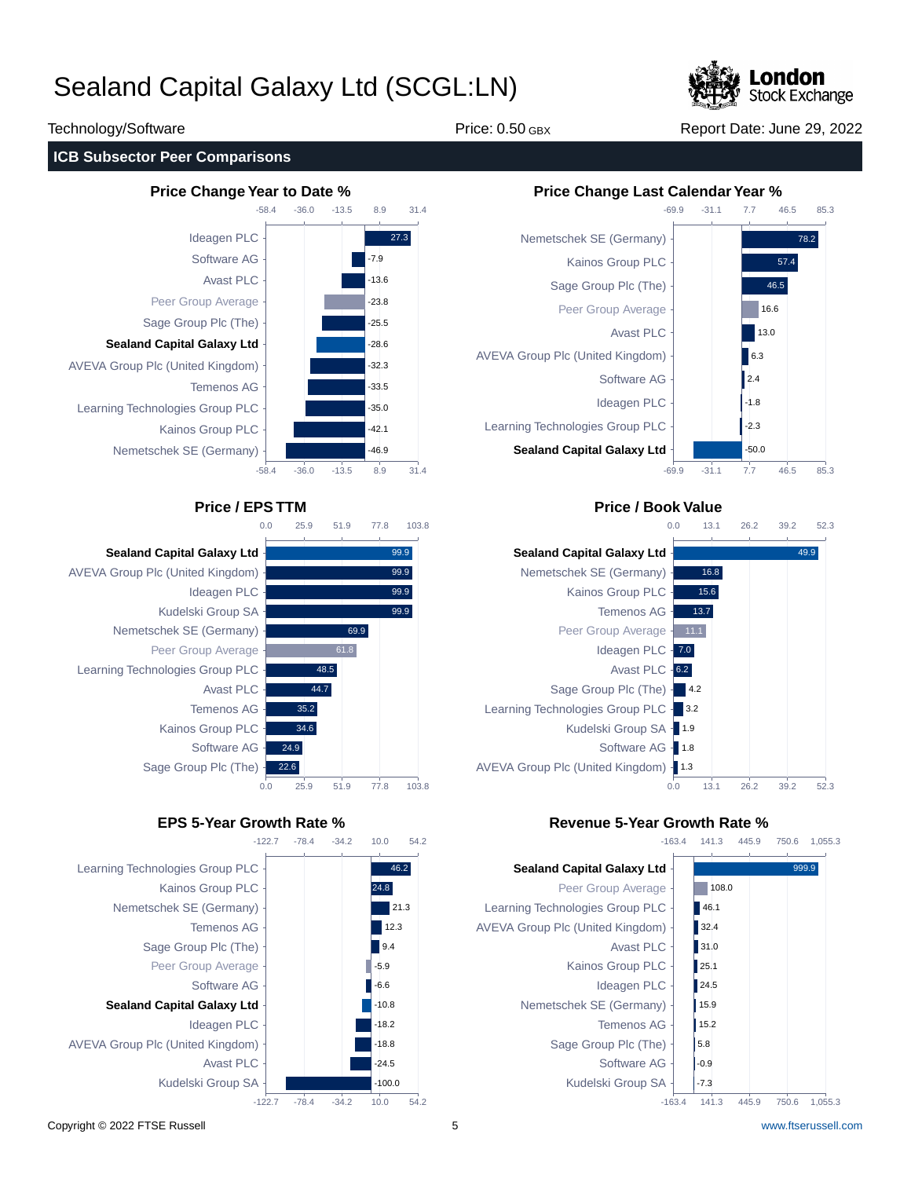

Technology/Software The Price: 0.50 GBX Report Date: June 29, 2022

### **ICB Subsector Peer Comparisons**









## **Price / EPS TTM Price / Book Value**



## **EPS 5-Year Growth Rate % Revenue 5-Year Growth Rate %**



Copyright © 2022 FTSE Russell 5 [www.ftserussell.com](http://www.ftserussell.com)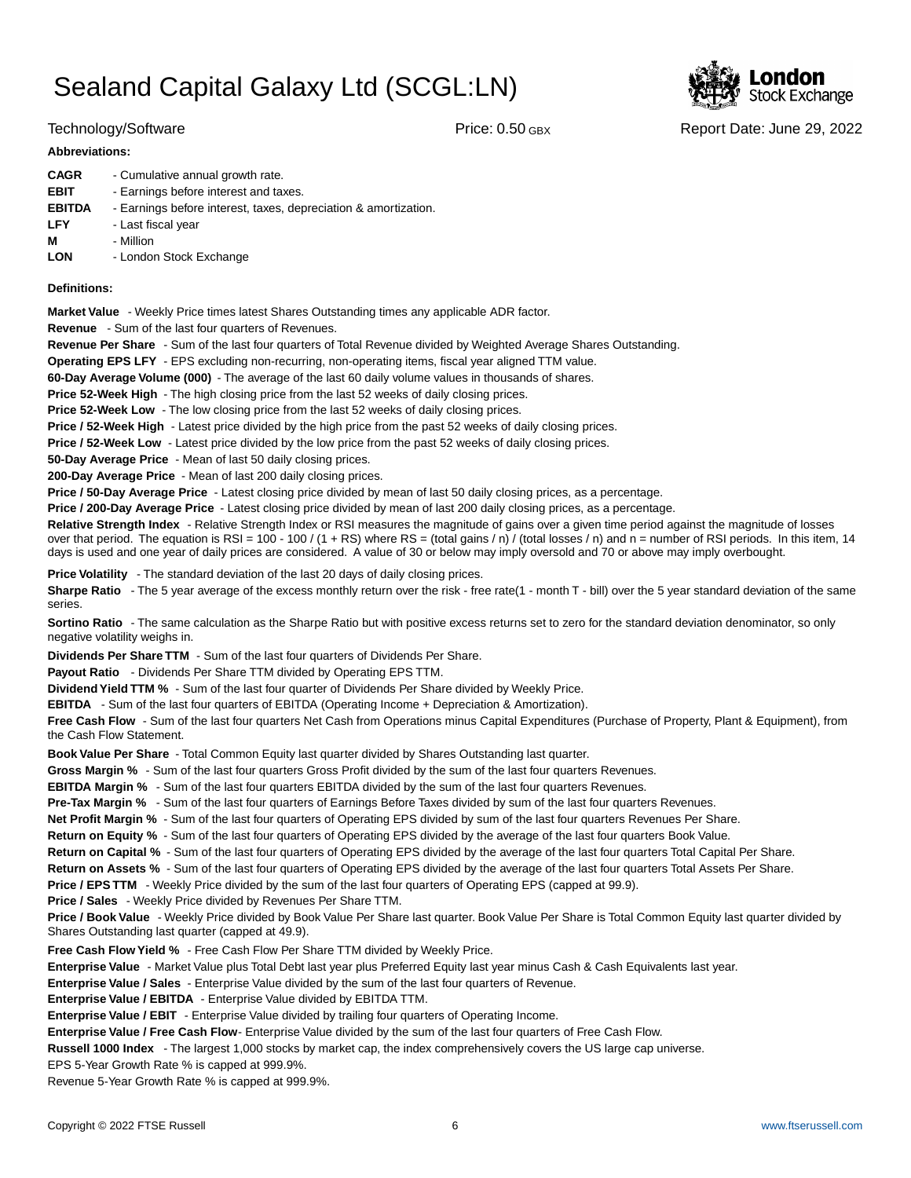

Technology/Software **Price: 0.50 GBX** Report Date: June 29, 2022

### **Abbreviations:**

| <b>CAGR</b>   | - Cumulative annual growth rate.                                |
|---------------|-----------------------------------------------------------------|
| <b>EBIT</b>   | - Earnings before interest and taxes.                           |
| <b>EBITDA</b> | - Earnings before interest, taxes, depreciation & amortization. |
| <b>LFY</b>    | - Last fiscal year                                              |
| М             | - Million                                                       |
| <b>LON</b>    | - London Stock Exchange                                         |

### **Definitions:**

**Market Value** - Weekly Price times latest Shares Outstanding times any applicable ADR factor.

**Revenue** - Sum of the last four quarters of Revenues.

**Revenue Per Share** - Sum of the last four quarters of Total Revenue divided by Weighted Average Shares Outstanding.

**Operating EPS LFY** - EPS excluding non-recurring, non-operating items, fiscal year aligned TTM value.

60-Day Average Volume (000) - The average of the last 60 daily volume values in thousands of shares.

**Price 52-Week High** - The high closing price from the last 52 weeks of daily closing prices.

**Price 52-Week Low** - The low closing price from the last 52 weeks of daily closing prices.

**Price / 52-Week High** - Latest price divided by the high price from the past 52 weeks of daily closing prices.

**Price / 52-Week Low** - Latest price divided by the low price from the past 52 weeks of daily closing prices.

**50-Day Average Price** - Mean of last 50 daily closing prices.

**200-Day Average Price** - Mean of last 200 daily closing prices.

Price / 50-Day Average Price - Latest closing price divided by mean of last 50 daily closing prices, as a percentage.

**Price / 200-Day Average Price** - Latest closing price divided by mean of last 200 daily closing prices, as a percentage.

Relative Strength Index - Relative Strength Index or RSI measures the magnitude of gains over a given time period against the magnitude of losses over that period. The equation is RSI = 100 - 100 / (1 + RS) where RS = (total gains / n) / (total losses / n) and n = number of RSI periods. In this item, 14 days is used and one year of daily prices are considered. A value of 30 or below may imply oversold and 70 or above may imply overbought.

**Price Volatility** - The standard deviation of the last 20 days of daily closing prices.

Sharpe Ratio - The 5 year average of the excess monthly return over the risk - free rate(1 - month T - bill) over the 5 year standard deviation of the same series.

**Sortino Ratio** - The same calculation as the Sharpe Ratio but with positive excess returns set to zero for the standard deviation denominator, so only negative volatility weighs in.

**Dividends Per Share TTM** - Sum of the last four quarters of Dividends Per Share.

Payout Ratio - Dividends Per Share TTM divided by Operating EPS TTM.

**Dividend Yield TTM %** - Sum of the last four quarter of Dividends Per Share divided by Weekly Price.

**EBITDA** - Sum of the last four quarters of EBITDA (Operating Income + Depreciation & Amortization).

**Free Cash Flow** - Sum of the last four quarters Net Cash from Operations minus Capital Expenditures (Purchase of Property, Plant & Equipment), from the Cash Flow Statement.

**Book Value Per Share** - Total Common Equity last quarter divided by Shares Outstanding last quarter.

**Gross Margin %** - Sum of the last four quarters Gross Profit divided by the sum of the last four quarters Revenues.

**EBITDA Margin %** - Sum of the last four quarters EBITDA divided by the sum of the last four quarters Revenues.

**Pre-Tax Margin %** - Sum of the last four quarters of Earnings Before Taxes divided by sum of the last four quarters Revenues.

**Net Profit Margin %** - Sum of the last four quarters of Operating EPS divided by sum of the last four quarters Revenues Per Share.

**Return on Equity %** - Sum of the last four quarters of Operating EPS divided by the average of the last four quarters Book Value.

**Return on Capital %** - Sum of the last four quarters of Operating EPS divided by the average of the last four quarters Total Capital Per Share.

**Return on Assets %** - Sum of the last four quarters of Operating EPS divided by the average of the last four quarters Total Assets Per Share.

**Price / EPS TTM** - Weekly Price divided by the sum of the last four quarters of Operating EPS (capped at 99.9).

**Price / Sales** - Weekly Price divided by Revenues Per Share TTM.

**Price / Book Value** - Weekly Price divided by Book Value Per Share last quarter. Book Value Per Share is Total Common Equity last quarter divided by Shares Outstanding last quarter (capped at 49.9).

**Free Cash Flow Yield %** - Free Cash Flow Per Share TTM divided by Weekly Price.

Enterprise Value - Market Value plus Total Debt last year plus Preferred Equity last year minus Cash & Cash Equivalents last year.

**Enterprise Value / Sales** - Enterprise Value divided by the sum of the last four quarters of Revenue.

**Enterprise Value / EBITDA** - Enterprise Value divided by EBITDA TTM.

**Enterprise Value / EBIT** - Enterprise Value divided by trailing four quarters of Operating Income.

Enterprise Value / Free Cash Flow- Enterprise Value divided by the sum of the last four quarters of Free Cash Flow.

**Russell 1000 Index** - The largest 1,000 stocks by market cap, the index comprehensively covers the US large cap universe.

EPS 5-Year Growth Rate % is capped at 999.9%.

Revenue 5-Year Growth Rate % is capped at 999.9%.